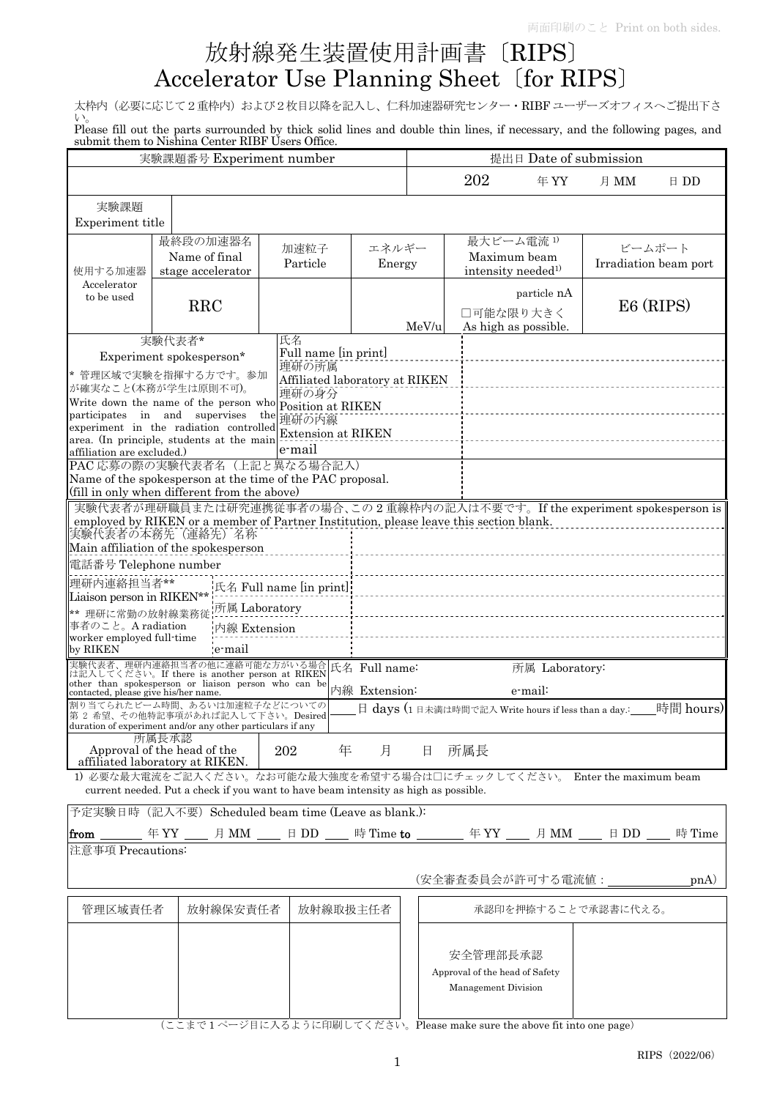# 放射線発生装置使用計画書〔RIPS〕 Accelerator Use Planning Sheet〔for RIPS〕

太枠内(必要に応じて2重枠内)および2枚目以降を記入し、仁科加速器研究センター·RIBF ユーザーズオフィスへご提出下さ い。

Please fill out the parts surrounded by thick solid lines and double thin lines, if necessary, and the following pages, and submit them to Nishina Center RIBF Users Office.

| 実験課題番号 Experiment number                                                                                                                    |                                                                                                                           |                                | 提出日 Date of submission |       |                                                          |                      |                     |                       |
|---------------------------------------------------------------------------------------------------------------------------------------------|---------------------------------------------------------------------------------------------------------------------------|--------------------------------|------------------------|-------|----------------------------------------------------------|----------------------|---------------------|-----------------------|
|                                                                                                                                             |                                                                                                                           |                                |                        |       | 202                                                      | 年YY                  | 月 MM                | $\boxplus$ DD         |
| 実験課題                                                                                                                                        |                                                                                                                           |                                |                        |       |                                                          |                      |                     |                       |
| Experiment title                                                                                                                            |                                                                                                                           |                                |                        |       |                                                          |                      |                     |                       |
|                                                                                                                                             | 最終段の加速器名                                                                                                                  | 加速粒子                           | エネルギー                  |       | 最大ビーム電流1)                                                |                      |                     | ビームポート                |
|                                                                                                                                             | Name of final                                                                                                             | Particle                       | Energy                 |       |                                                          | Maximum beam         |                     | Irradiation beam port |
| 使用する加速器                                                                                                                                     | stage accelerator                                                                                                         |                                |                        |       | intensity needed <sup>1)</sup>                           |                      |                     |                       |
| Accelerator<br>to be used                                                                                                                   |                                                                                                                           |                                |                        |       |                                                          | particle nA          |                     |                       |
|                                                                                                                                             | <b>RRC</b>                                                                                                                |                                |                        |       | □可能な限り大きく                                                |                      |                     | E6 (RIPS)             |
|                                                                                                                                             |                                                                                                                           |                                |                        | MeV/u |                                                          | As high as possible. |                     |                       |
|                                                                                                                                             | 実験代表者*                                                                                                                    | 氏名<br>Full name [in print]     |                        |       |                                                          |                      |                     |                       |
|                                                                                                                                             | Experiment spokesperson*                                                                                                  | 理研の所属                          |                        |       |                                                          |                      |                     |                       |
|                                                                                                                                             | * 管理区域で実験を指揮する方です。参加                                                                                                      | Affiliated laboratory at RIKEN |                        |       |                                                          |                      |                     |                       |
|                                                                                                                                             | が確実なこと(本務が学生は原則不可)。<br>Write down the name of the person who position at RIKEN                                            | 理研の身分                          |                        |       |                                                          |                      |                     |                       |
|                                                                                                                                             | participates in and supervises                                                                                            | the<br>理研の内線                   |                        |       |                                                          |                      |                     |                       |
|                                                                                                                                             | experiment in the radiation controlled                                                                                    | <b>Extension at RIKEN</b>      |                        |       |                                                          |                      |                     |                       |
| affiliation are excluded.)                                                                                                                  | area. (In principle, students at the main                                                                                 | e-mail                         |                        |       |                                                          |                      |                     |                       |
|                                                                                                                                             | PAC 応募の際の実験代表者名(上記と異なる場合記入)                                                                                               |                                |                        |       |                                                          |                      |                     |                       |
|                                                                                                                                             | Name of the spokesperson at the time of the PAC proposal.                                                                 |                                |                        |       |                                                          |                      |                     |                       |
|                                                                                                                                             | (fill in only when different from the above)<br>実験代表者が理研職員または研究連携従事者の場合、この2重線枠内の記入は不要です。If the experiment spokesperson is |                                |                        |       |                                                          |                      |                     |                       |
|                                                                                                                                             | employed by RIKEN or a member of Partner Institution, please leave this section blank.                                    |                                |                        |       |                                                          |                      |                     |                       |
|                                                                                                                                             | 実験代表者の本務先(連絡先)名称                                                                                                          |                                |                        |       |                                                          |                      |                     |                       |
|                                                                                                                                             | Main affiliation of the spokesperson                                                                                      |                                |                        |       |                                                          |                      |                     |                       |
| 電話番号 Telephone number                                                                                                                       |                                                                                                                           |                                |                        |       |                                                          |                      |                     |                       |
| 理研内連絡担当者**                                                                                                                                  |                                                                                                                           | 氏名 Full name [in print]:       |                        |       |                                                          |                      |                     |                       |
| Liaison person in RIKEN**                                                                                                                   | 所属 Laboratory                                                                                                             |                                |                        |       |                                                          |                      |                     |                       |
| ** 理研に常勤の放射線業務従<br>事者のこと。A radiation                                                                                                        | 内線 Extension                                                                                                              |                                |                        |       |                                                          |                      |                     |                       |
| worker employed full-time                                                                                                                   |                                                                                                                           |                                |                        |       |                                                          |                      |                     |                       |
| by RIKEN                                                                                                                                    | 'e mail                                                                                                                   |                                |                        |       |                                                          |                      |                     |                       |
|                                                                                                                                             | 実験代表者、理研内連絡担当者の他に連絡可能な方がいる場合<br>は記入してください。If there is another person at RIKEN                                             |                                | 氏名 Full name:          |       |                                                          | 所属 Laboratory:       |                     |                       |
| contacted, please give his/her name.                                                                                                        | other than spokesperson or liaison person who can be                                                                      |                                | 内線 Extension:          |       |                                                          | e-mail:              |                     |                       |
|                                                                                                                                             | 割り当てられたビーム時間、あるいは加速粒子などについての                                                                                              |                                |                        |       | $\Box$ days (1日未満は時間で記入 Write hours if less than a day.: |                      |                     | 時間 hours)             |
| 第2希望、その他特記事項があれば記入して下さい。Desired<br>duration of experiment and/or any other particulars if any                                               |                                                                                                                           |                                |                        |       |                                                          |                      |                     |                       |
| 所属長承認                                                                                                                                       |                                                                                                                           |                                |                        |       |                                                          |                      |                     |                       |
| Approval of the head of the<br>年<br>月<br>所属長<br>202<br>日<br>affiliated laboratory at RIKEN.                                                 |                                                                                                                           |                                |                        |       |                                                          |                      |                     |                       |
| 1) 必要な最大電流をご記入ください。なお可能な最大強度を希望する場合は口にチェックしてください。 Enter the maximum beam                                                                    |                                                                                                                           |                                |                        |       |                                                          |                      |                     |                       |
| current needed. Put a check if you want to have beam intensity as high as possible.<br>予定実験日時 (記入不要) Scheduled beam time (Leave as blank.): |                                                                                                                           |                                |                        |       |                                                          |                      |                     |                       |
|                                                                                                                                             |                                                                                                                           |                                |                        |       |                                                          |                      |                     |                       |
| 時 Time                                                                                                                                      |                                                                                                                           |                                |                        |       |                                                          |                      |                     |                       |
| 注意事項 Precautions:                                                                                                                           |                                                                                                                           |                                |                        |       |                                                          |                      |                     |                       |
|                                                                                                                                             |                                                                                                                           |                                |                        |       |                                                          |                      |                     |                       |
| (安全審査委員会が許可する電流値:<br>p <sub>n</sub> (A)                                                                                                     |                                                                                                                           |                                |                        |       |                                                          |                      |                     |                       |
| 管理区域責任者                                                                                                                                     | 放射線保安責任者                                                                                                                  | 放射線取扱主任者                       |                        |       |                                                          |                      | 承認印を押捺することで承認書に代える。 |                       |
|                                                                                                                                             |                                                                                                                           |                                |                        |       |                                                          |                      |                     |                       |
|                                                                                                                                             |                                                                                                                           |                                |                        |       | 安全管理部長承認                                                 |                      |                     |                       |
|                                                                                                                                             |                                                                                                                           |                                |                        |       | Approval of the head of Safety                           |                      |                     |                       |
|                                                                                                                                             |                                                                                                                           |                                |                        |       | Management Division                                      |                      |                     |                       |
|                                                                                                                                             |                                                                                                                           |                                |                        |       |                                                          |                      |                     |                       |
|                                                                                                                                             |                                                                                                                           |                                |                        |       |                                                          |                      |                     |                       |

(ここまで 1 ページ目に入るように印刷してください。Please make sure the above fit into one page)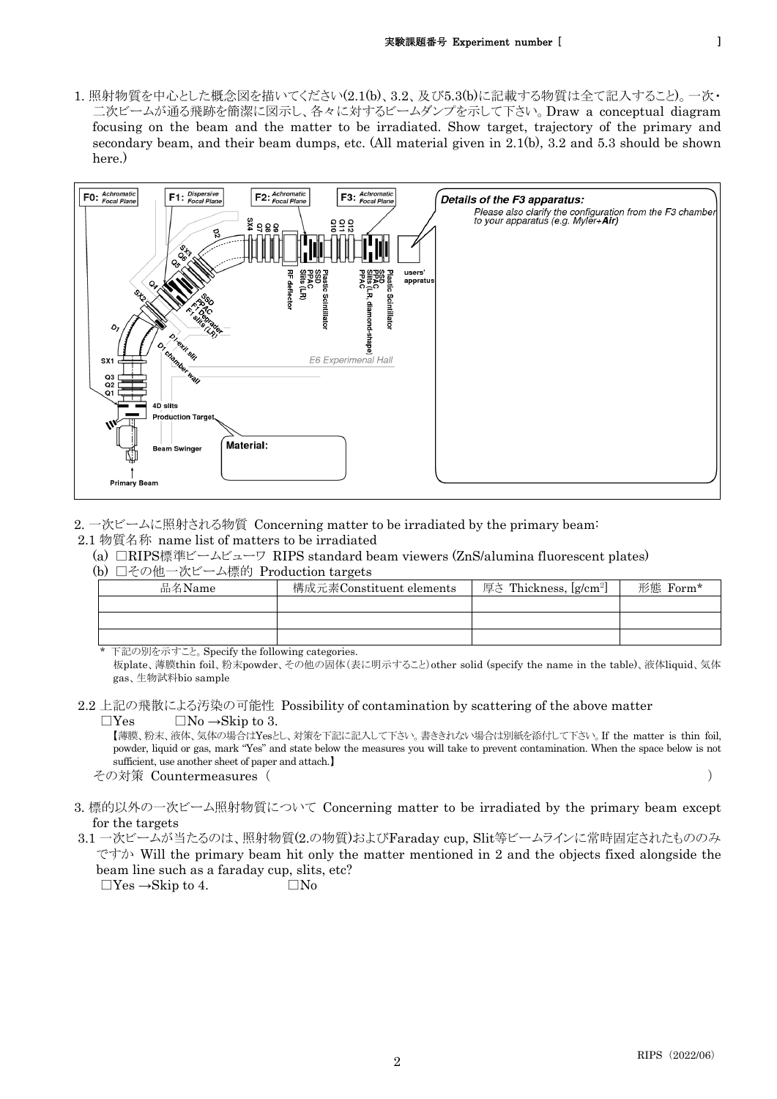1. 照射物質を中心とした概念図を描いてください(2.1(b)、3.2、及び5.3(b)に記載する物質は全て記入すること)。一次・ 二次ビームが通る飛跡を簡潔に図示し、各々に対するビームダンプを示して下さい。Draw a conceptual diagram focusing on the beam and the matter to be irradiated. Show target, trajectory of the primary and secondary beam, and their beam dumps, etc. (All material given in 2.1(b), 3.2 and 5.3 should be shown here.)



2. 一次ビームに照射される物質 Concerning matter to be irradiated by the primary beam:

- 2.1 物質名称 name list of matters to be irradiated
	- (a) □RIPS標準ビームビューワ RIPS standard beam viewers (ZnS/alumina fluorescent plates)

(b) □その他一次ビーム標的 Production targets

| 品名Name | 構成元素Constituent elements | 厚さ Thickness, [g/cm <sup>2</sup> ] | 形態 Form* |
|--------|--------------------------|------------------------------------|----------|
|        |                          |                                    |          |
|        |                          |                                    |          |
|        |                          |                                    |          |

下記の別を示すこと。Specify the following categories.

板plate、薄膜thin foil、粉末powder、その他の固体(表に明示すること)other solid (specify the name in the table)、液体liquid、気体 gas、生物試料bio sample

2.2 上記の飛散による汚染の可能性 Possibility of contamination by scattering of the above matter  $\Box$ Yes  $\Box$ No  $\rightarrow$ Skip to 3.

【薄膜、粉末、液体、気体の場合はYesとし、対策を下記に記入して下さい。書ききれない場合は別紙を添付して下さい。If the matter is thin foil, powder, liquid or gas, mark "Yes" and state below the measures you will take to prevent contamination. When the space below is not sufficient, use another sheet of paper and attach.】

その対策 Countermeasures ( )

- 3. 標的以外の一次ビーム照射物質について Concerning matter to be irradiated by the primary beam except for the targets
- 3.1 一次ビームが当たるのは、照射物質(2.の物質)およびFaraday cup, Slit等ビームラインに常時固定されたもののみ ですか Will the primary beam hit only the matter mentioned in 2 and the objects fixed alongside the beam line such as a faraday cup, slits, etc?  $\Box$  Yes  $\rightarrow$ Skip to 4.  $\Box$  No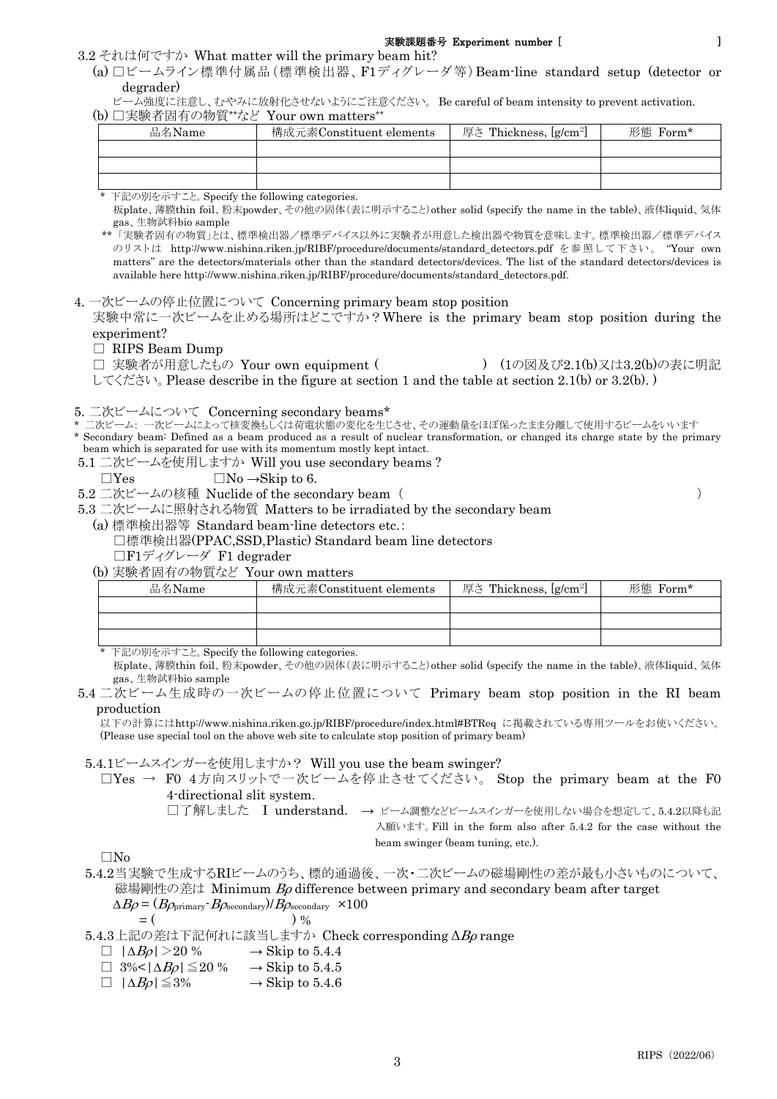(a) □ビームライン標準付属品(標準検出器、F1ディグレーダ等)Beam-line standard setup (detector or degrader)

ビーム強度に注意し、むやみに放射化させないようにご注意ください。 Be careful of beam intensity to prevent activation. (b) □実験者固有の物質\*\*など Your own matters\*\*

| 品名Name | 構成元素Constituent elements |  | 形態 Form* |
|--------|--------------------------|--|----------|
|        |                          |  |          |
|        |                          |  |          |
|        |                          |  |          |

下記の別を示すこと。Specify the following categories.

板plate、薄膜thin foil、粉末powder、その他の固体(表に明示すること)other solid (specify the name in the table)、液体liquid、気体 gas、生物試料bio sample

\*\* 「実験者固有の物質」とは、標準検出器/標準デバイス以外に実験者が用意した検出器や物質を意味します。標準検出器/標準デバイス のリストは http://www.nishina.riken.jp/RIBF/procedure/documents/standard\_detectors.pdf を参照して下さい。 "Your own matters" are the detectors/materials other than the standard detectors/devices. The list of the standard detectors/devices is available here http://www.nishina.riken.jp/RIBF/procedure/documents/standard\_detectors.pdf.

4. 一次ビームの停止位置について Concerning primary beam stop position

実験中常に一次ビームを止める場所はどこですか?Where is the primary beam stop position during the experiment?

#### □ RIPS Beam Dump

□ 実験者が用意したもの Your own equipment ( ) (1の図及び2.1(b)又は3.2(b)の表に明記 してください。Please describe in the figure at section 1 and the table at section 2.1(b) or 3.2(b). )

5. 二次ビームについて Concerning secondary beams\*

:次ビーム: 一次ビームによって核変換もしくは荷電状態の変化を生じさせ、その運動量をほぼ保ったまま分離して使用するビームをいいます

\* Secondary beam: Defined as a beam produced as a result of nuclear transformation, or changed its charge state by the primary beam which is separated for use with its momentum mostly kept intact.

5.1 二次ビームを使用しますか Will you use secondary beams ?

 $\Box$ Yes  $\Box$ No  $\rightarrow$ Skip to 6.

5.2 二次ビームの核種 Nuclide of the secondary beam ( )

5.3 二次ビームに照射される物質 Matters to be irradiated by the secondary beam

(a) 標準検出器等 Standard beam-line detectors etc.:

□標準検出器(PPAC,SSD,Plastic) Standard beam line detectors

□F1ディグレーダ F1 degrader

(b) 実験者固有の物質など Your own matters

| 品名Name | 構成元素Constituent elements | 厚さ Thickness, [g/cm <sup>2]</sup> | 形態 Form* |
|--------|--------------------------|-----------------------------------|----------|
|        |                          |                                   |          |
|        |                          |                                   |          |
|        |                          |                                   |          |

\* 下記の別を示すこと。Specify the following categories.

板plate、薄膜thin foil、粉末powder、その他の固体(表に明示すること)other solid (specify the name in the table)、液体liquid、気体 gas、生物試料bio sample

5.4 二次ビーム生成時の一次ビームの停止位置について Primary beam stop position in the RI beam production

以下の計算にはhttp://www.nishina.riken.go.jp/RIBF/procedure/index.html#BTReq に掲載されている専用ツールをお使いください。 (Please use special tool on the above web site to calculate stop position of primary beam)

5.4.1ビームスインガーを使用しますか? Will you use the beam swinger?

□Yes → F0 4方向スリットで一次ビームを停止させてください。 Stop the primary beam at the F0 4-directional slit system.

□了解しました I understand. → ビーム調整などビームスインガーを使用しない場合を想定して、5.4.2以降も記 入願います。Fill in the form also after 5.4.2 for the case without the beam swinger (beam tuning, etc.).

 $\square$ No

5.4.2当実験で生成するRIビームのうち、標的通過後、一次・二次ビームの磁場剛性の差が最も小さいものについて、 磁場剛性の差は Minimum  $B\rho$  difference between primary and secondary beam after target  $\Delta B \rho = (B \rho_{\text{primary}} \cdot B \rho_{\text{secondary}})/B \rho_{\text{secondary}} \times 100$ 

$$
= (\qquad \qquad )\; \%
$$

5.4.3上記の差は下記何れに該当しますか Check corresponding ΔBρ range

 $\Box \mid \Delta B \rho \mid > 20\% \rightarrow \text{Skip to } 5.4.4$ <br> $\Box 3\% < |\Delta B \rho| \leq 20\% \rightarrow \text{Skip to } 5.4.5$ 

 $\Box 3\%<|\Delta B_{\mathcal{O}}|\leq 20\%$ 

 $\Box$   $|\Delta B_{\mathcal{O}}| \leq 3\%$   $\rightarrow$  Skip to 5.4.6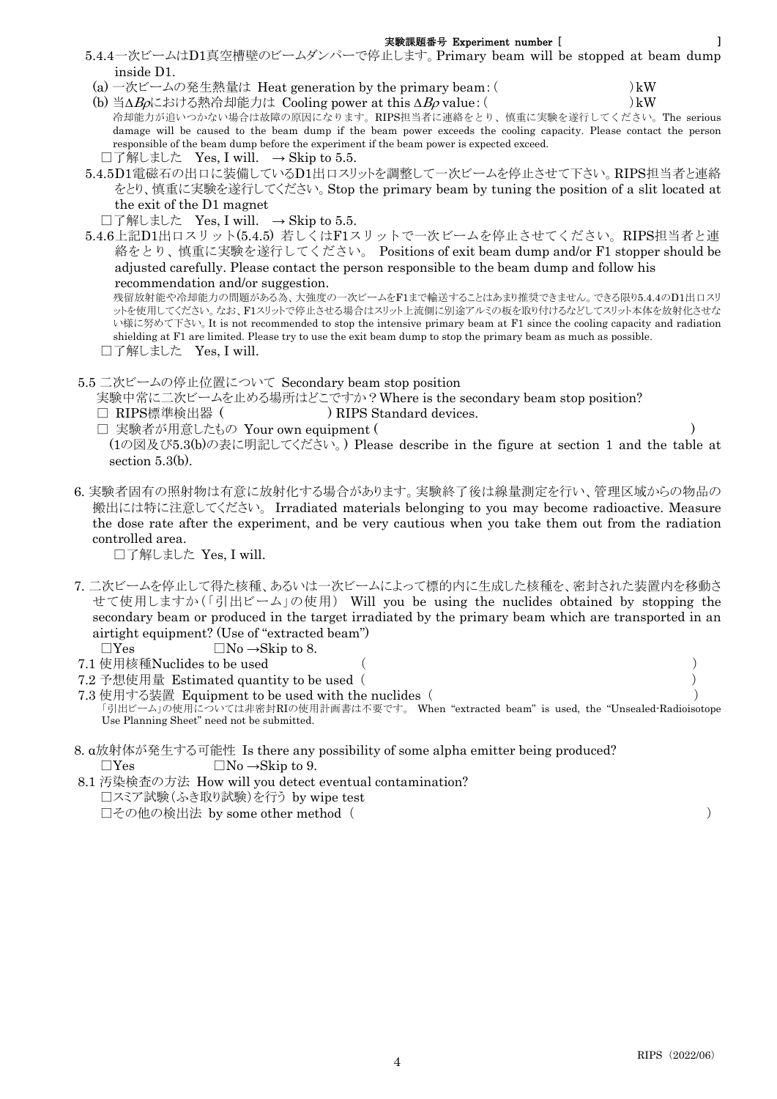- 5.4.4一次ビームはD1真空槽壁のビームダンパーで停止します。Primary beam will be stopped at beam dump inside D1.
- (a) 一次ビームの発生熱量は Heat generation by the primary beam:( )kW
- (b) 当 $\Delta B_0$ における熱冷却能力は Cooling power at this  $\Delta B_0$  value: ( )kW 冷却能力が追いつかない場合は故障の原因になります。RIPS担当者に連絡をとり、慎重に実験を遂行してください。The serious

damage will be caused to the beam dump if the beam power exceeds the cooling capacity. Please contact the person responsible of the beam dump before the experiment if the beam power is expected exceed. □了解しました Yes, I will.  $\rightarrow$  Skip to 5.5.

- 5.4.5D1電磁石の出口に装備しているD1出口スリットを調整して一次ビームを停止させて下さい。RIPS担当者と連絡 をとり、慎重に実験を遂行してください。Stop the primary beam by tuning the position of a slit located at the exit of the D1 magnet
	- $\square$ 了解しました Yes, I will.  $\rightarrow$  Skip to 5.5.
- 5.4.6上記D1出口スリット(5.4.5) 若しくはF1スリットで一次ビームを停止させてください。RIPS担当者と連 絡をとり、慎重に実験を遂行してください。 Positions of exit beam dump and/or F1 stopper should be adjusted carefully. Please contact the person responsible to the beam dump and follow his recommendation and/or suggestion.

残留放射能や冷却能力の問題がある為、大強度の一次ビームをF1まで輸送することはあまり推奨できません。できる限り5.4.4のD1出口スリ ットを使用してください。なお、F1スリットで停止させる場合はスリット上流側に別途アルミの板を取り付けるなどしてスリット本体を放射化させな い様に努めて下さい。It is not recommended to stop the intensive primary beam at F1 since the cooling capacity and radiation shielding at F1 are limited. Please try to use the exit beam dump to stop the primary beam as much as possible. □了解しました
Yes, I will.

5.5 二次ビームの停止位置について Secondary beam stop position

実験中常に二次ビームを止める場所はどこですか?Where is the secondary beam stop position?

- □ RIPS標準検出器 ( ) RIPS Standard devices.
- □ 実験者が用意したもの Your own equipment ( )

(1の図及び5.3(b)の表に明記してください。) Please describe in the figure at section 1 and the table at section 5.3(b).

6. 実験者固有の照射物は有意に放射化する場合があります。実験終了後は線量測定を行い、管理区域からの物品の 搬出には特に注意してください。 Irradiated materials belonging to you may become radioactive. Measure the dose rate after the experiment, and be very cautious when you take them out from the radiation controlled area.

□了解しました Yes, I will.

- 7. 二次ビームを停止して得た核種、あるいは一次ビームによって標的内に生成した核種を、密封された装置内を移動さ せて使用しますか(「引出ビーム」の使用) Will you be using the nuclides obtained by stopping the secondary beam or produced in the target irradiated by the primary beam which are transported in an airtight equipment? (Use of "extracted beam")  $\Box$ Yes  $\Box$ No  $\rightarrow$ Skip to 8.
- 7.1 使用核種Nuclides to be used ( )
- 
- 7.2 予想使用量 Estimated quantity to be used ( )
- 7.3 使用する装置 Equipment to be used with the nuclides ( ) 「引出ビーム」の使用については非密封RIの使用計画書は不要です。 When "extracted beam" is used, the "Unsealed-Radioisotope Use Planning Sheet" need not be submitted.
- 8. α放射体が発生する可能性 Is there any possibility of some alpha emitter being produced?  $\Box$ Yes  $\Box$ No  $\rightarrow$ Skip to 9.
- 8.1 汚染検査の方法 How will you detect eventual contamination? □スミア試験(ふき取り試験)を行う by wipe test □その他の検出法 by some other method ( )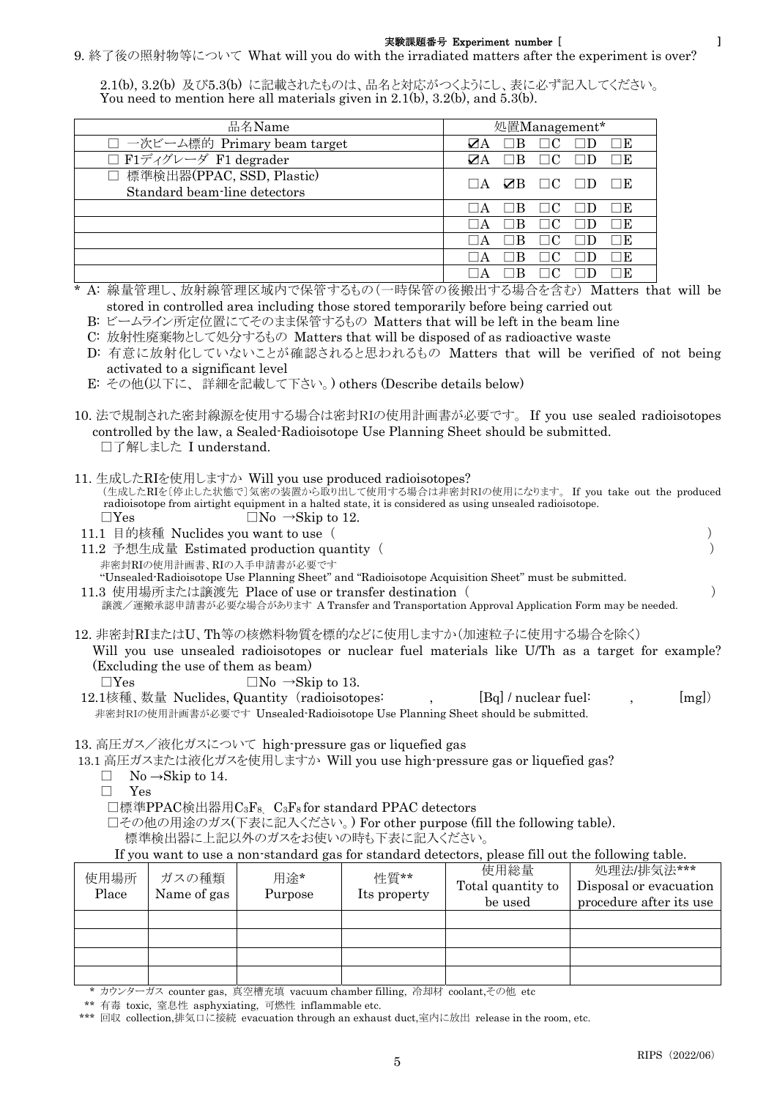## 9. 終了後の照射物等について What will you do with the irradiated matters after the experiment is over?

2.1(b), 3.2(b) 及び5.3(b) に記載されたものは、品名と対応がつくようにし、表に必ず記入してください。 You need to mention here all materials given in 2.1(b), 3.2(b), and 5.3(b).

| 品名Name                                                      | 処置Management*                                          |  |  |  |
|-------------------------------------------------------------|--------------------------------------------------------|--|--|--|
| □ 一次ビーム標的 Primary beam target                               | ИА<br>В                                                |  |  |  |
| □ F1ディグレーダ F1 degrader                                      | ØА                                                     |  |  |  |
| □ 標準検出器(PPAC, SSD, Plastic)<br>Standard beam-line detectors | $\Box C$<br>ZB.<br>$\mathsf{I}$ $\mathsf{A}$<br>$\Box$ |  |  |  |
|                                                             |                                                        |  |  |  |
|                                                             |                                                        |  |  |  |
|                                                             |                                                        |  |  |  |
|                                                             |                                                        |  |  |  |
|                                                             |                                                        |  |  |  |

\* A: 線量管理し、放射線管理区域内で保管するもの(一時保管の後搬出する場合を含む) Matters that will be stored in controlled area including those stored temporarily before being carried out

C: 放射性廃棄物として処分するもの Matters that will be disposed of as radioactive waste

 D: 有意に放射化していないことが確認されると思われるもの Matters that will be verified of not being activated to a significant level

E: その他(以下に、 詳細を記載して下さい。) others (Describe details below)

- 10. 法で規制された密封線源を使用する場合は密封RIの使用計画書が必要です。 If you use sealed radioisotopes controlled by the law, a Sealed-Radioisotope Use Planning Sheet should be submitted. □了解しました I understand.
- 11. 生成したRIを使用しますか Will you use produced radioisotopes? (生成したRIを〔停止した状態で〕気密の装置から取り出して使用する場合は非密封RIの使用になります。 If you take out the produced

radioisotope from airtight equipment in a halted state, it is considered as using unsealed radioisotope.  $\Box$ Yes  $\Box$ No  $\rightarrow$ Skip to 12.

11.1 目的核種 Nuclides you want to use ( )

11.2 予想生成量 Estimated production quantity ( ) 非密封RIの使用計画書、RIの入手申請書が必要です

"Unsealed-Radioisotope Use Planning Sheet" and "Radioisotope Acquisition Sheet" must be submitted. 11.3 使用場所または譲渡先 Place of use or transfer destination ( )

譲渡/運搬承認申請書が必要な場合があります A Transfer and Transportation Approval Application Form may be needed.

12. 非密封RIまたはU、Th等の核燃料物質を標的などに使用しますか(加速粒子に使用する場合を除く)

Will you use unsealed radioisotopes or nuclear fuel materials like U/Th as a target for example? (Excluding the use of them as beam)

 $\Box$ Yes  $\Box$ No  $\rightarrow$ Skip to 13.

12.1核種、数量 Nuclides, Quantity (radioisotopes: ,  $[{\rm Bq}]$  / nuclear fuel: ,  $[{\rm mg}]$ ) 非密封RIの使用計画書が必要です Unsealed-Radioisotope Use Planning Sheet should be submitted.

13. 高圧ガス/液化ガスについて high-pressure gas or liquefied gas

13.1 高圧ガスまたは液化ガスを使用しますか Will you use high-pressure gas or liquefied gas?

- $\Box$  No  $\rightarrow$ Skip to 14.
- □ Yes

□標準PPAC検出器用C<sub>3</sub>F<sub>8</sub> C<sub>3</sub>F<sub>8</sub> for standard PPAC detectors

□その他の用途のガス(下表に記入ください。) For other purpose (fill the following table).

標準検出器に上記以外のガスをお使いの時も下表に記入ください。

If you want to use a non-standard gas for standard detectors, please fill out the following table.

| 使用場所<br>Place | ガスの種類<br>Name of gas | 用途*<br>Purpose | 性質**<br>Its property | 使用総量<br>Total quantity to<br>be used | 処理法/排気法***<br>Disposal or evacuation<br>procedure after its use |
|---------------|----------------------|----------------|----------------------|--------------------------------------|-----------------------------------------------------------------|
|               |                      |                |                      |                                      |                                                                 |
|               |                      |                |                      |                                      |                                                                 |
|               |                      |                |                      |                                      |                                                                 |
|               |                      |                |                      |                                      |                                                                 |

\* カウンターガス counter gas, 真空槽充填 vacuum chamber filling, 冷却材 coolant,その他 etc

B: ビームライン所定位置にてそのまま保管するもの Matters that will be left in the beam line

<sup>\*\*</sup> 有毒 toxic, 窒息性 asphyxiating, 可燃性 inflammable etc.

<sup>\*\*\*</sup> 回収 collection,排気口に接続 evacuation through an exhaust duct,室内に放出 release in the room, etc.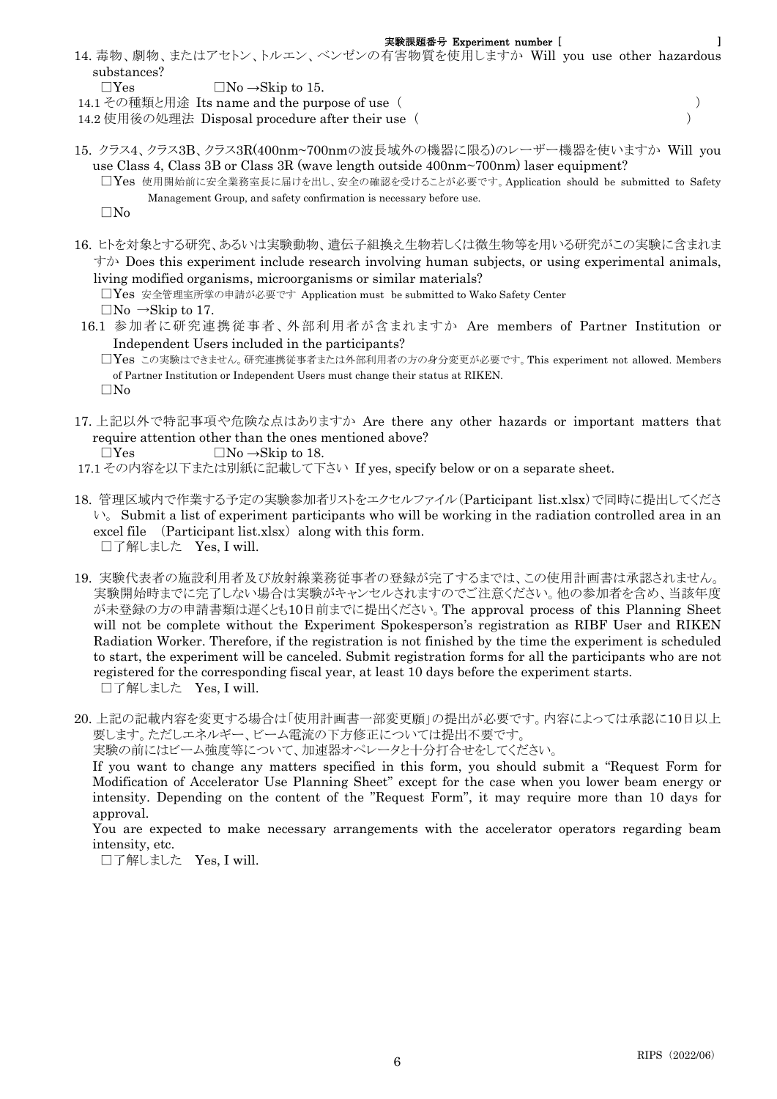14. 毒物、劇物、またはアセトン、トルエン、ベンゼンの有害物質を使用しますか Will you use other hazardous substances?

 $\Box$ Yes  $\Box$ No  $\rightarrow$ Skip to 15.

- 14.1 その種類と用途 Its name and the purpose of use ( )
- 14.2 使用後の処理法 Disposal procedure after their use ( )
- 15. クラス4、クラス3B、クラス3R(400nm~700nmの波長域外の機器に限る)のレーザー機器を使いますか Will you use Class 4, Class 3B or Class 3R (wave length outside 400nm~700nm) laser equipment?
	- □Yes 使用開始前に安全業務室長に届けを出し、安全の確認を受けることが必要です。Application should be submitted to Safety Management Group, and safety confirmation is necessary before use.

 $\square$ No

- 16. ヒトを対象とする研究、あるいは実験動物、遺伝子組換え生物若しくは微生物等を用いる研究がこの実験に含まれま  $\not\uparrow\uparrow$  Does this experiment include research involving human subjects, or using experimental animals, living modified organisms, microorganisms or similar materials? □Yes 安全管理室所掌の申請が必要です Application must be submitted to Wako Safety Center  $\Box$ No  $\rightarrow$ Skip to 17.
- 16.1 参加者に研究連携従事者、外部利用者が含まれますか Are members of Partner Institution or
	- Independent Users included in the participants? □Yes この実験はできません。研究連携従事者または外部利用者の方の身分変更が必要です。This experiment not allowed. Members of Partner Institution or Independent Users must change their status at RIKEN. □No
- 17. 上記以外で特記事項や危険な点はありますか Are there any other hazards or important matters that require attention other than the ones mentioned above?

- 17.1 その内容を以下または別紙に記載して下さい If yes, specify below or on a separate sheet.
- 18. 管理区域内で作業する予定の実験参加者リストをエクセルファイル(Participant list.xlsx)で同時に提出してくださ  $\vee$ . Submit a list of experiment participants who will be working in the radiation controlled area in an excel file  $(Participant list.xlsx)$  along with this form. □了解しました Yes, I will.
- 19. 実験代表者の施設利用者及び放射線業務従事者の登録が完了するまでは、この使用計画書は承認されません。 実験開始時までに完了しない場合は実験がキャンセルされますのでご注意ください。他の参加者を含め、当該年度 が未登録の方の申請書類は遅くとも10日前までに提出ください。The approval process of this Planning Sheet will not be complete without the Experiment Spokesperson's registration as RIBF User and RIKEN Radiation Worker. Therefore, if the registration is not finished by the time the experiment is scheduled to start, the experiment will be canceled. Submit registration forms for all the participants who are not registered for the corresponding fiscal year, at least 10 days before the experiment starts. □了解しました Yes, I will.
- 20. 上記の記載内容を変更する場合は「使用計画書一部変更願」の提出が必要です。内容によっては承認に10日以上 要します。ただしエネルギー、ビーム電流の下方修正については提出不要です。

実験の前にはビーム強度等について、加速器オペレータと十分打合せをしてください。

If you want to change any matters specified in this form, you should submit a "Request Form for Modification of Accelerator Use Planning Sheet" except for the case when you lower beam energy or intensity. Depending on the content of the "Request Form", it may require more than 10 days for approval.

You are expected to make necessary arrangements with the accelerator operators regarding beam intensity, etc.

□了解しました Yes, I will.

 $\Box$ Yes  $\Box$ No  $\rightarrow$ Skip to 18.